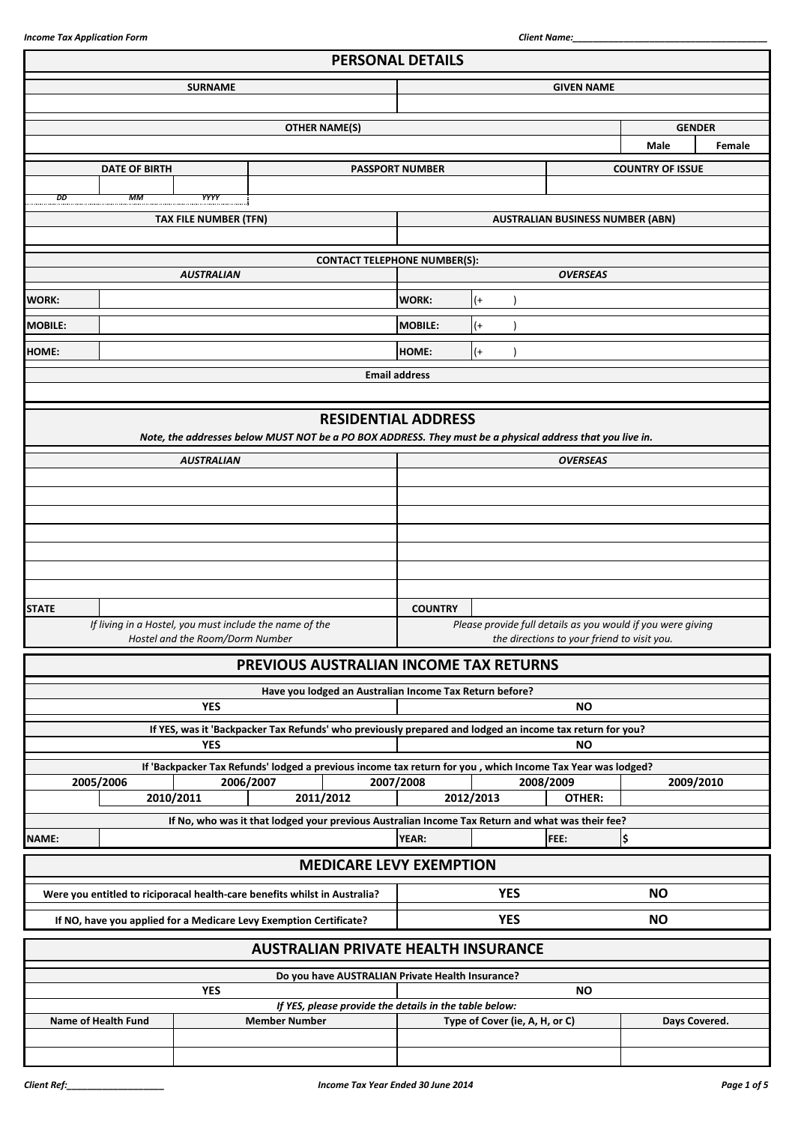|                                                                            |                                                                                                            | <b>PERSONAL DETAILS</b> |            |                                                             |                         |           |
|----------------------------------------------------------------------------|------------------------------------------------------------------------------------------------------------|-------------------------|------------|-------------------------------------------------------------|-------------------------|-----------|
| <b>SURNAME</b>                                                             |                                                                                                            | <b>GIVEN NAME</b>       |            |                                                             |                         |           |
|                                                                            |                                                                                                            |                         |            |                                                             |                         |           |
|                                                                            | <b>OTHER NAME(S)</b>                                                                                       |                         |            |                                                             | <b>GENDER</b>           |           |
|                                                                            |                                                                                                            |                         |            |                                                             | <b>Male</b>             | Female    |
| <b>DATE OF BIRTH</b>                                                       |                                                                                                            | <b>PASSPORT NUMBER</b>  |            |                                                             | <b>COUNTRY OF ISSUE</b> |           |
|                                                                            |                                                                                                            |                         |            |                                                             |                         |           |
| DD<br>МM<br>YYYY                                                           |                                                                                                            |                         |            |                                                             |                         |           |
| <b>TAX FILE NUMBER (TFN)</b>                                               |                                                                                                            |                         |            | <b>AUSTRALIAN BUSINESS NUMBER (ABN)</b>                     |                         |           |
|                                                                            |                                                                                                            |                         |            |                                                             |                         |           |
| <b>AUSTRALIAN</b>                                                          | <b>CONTACT TELEPHONE NUMBER(S):</b>                                                                        |                         |            | <b>OVERSEAS</b>                                             |                         |           |
| <b>WORK:</b>                                                               |                                                                                                            | WORK:                   | $(+)$      |                                                             |                         |           |
|                                                                            |                                                                                                            |                         |            |                                                             |                         |           |
| <b>MOBILE:</b>                                                             |                                                                                                            | <b>MOBILE:</b>          | $($ +      |                                                             |                         |           |
| <b>HOME:</b>                                                               |                                                                                                            | HOME:                   | $(+)$      |                                                             |                         |           |
|                                                                            |                                                                                                            | <b>Email address</b>    |            |                                                             |                         |           |
|                                                                            |                                                                                                            |                         |            |                                                             |                         |           |
|                                                                            | <b>RESIDENTIAL ADDRESS</b>                                                                                 |                         |            |                                                             |                         |           |
|                                                                            | Note, the addresses below MUST NOT be a PO BOX ADDRESS. They must be a physical address that you live in.  |                         |            |                                                             |                         |           |
| <b>AUSTRALIAN</b>                                                          |                                                                                                            |                         |            | <b>OVERSEAS</b>                                             |                         |           |
|                                                                            |                                                                                                            |                         |            |                                                             |                         |           |
|                                                                            |                                                                                                            |                         |            |                                                             |                         |           |
|                                                                            |                                                                                                            |                         |            |                                                             |                         |           |
|                                                                            |                                                                                                            |                         |            |                                                             |                         |           |
|                                                                            |                                                                                                            |                         |            |                                                             |                         |           |
|                                                                            |                                                                                                            |                         |            |                                                             |                         |           |
| <b>STATE</b>                                                               |                                                                                                            | <b>COUNTRY</b>          |            |                                                             |                         |           |
| If living in a Hostel, you must include the name of the                    |                                                                                                            |                         |            | Please provide full details as you would if you were giving |                         |           |
| Hostel and the Room/Dorm Number                                            |                                                                                                            |                         |            | the directions to your friend to visit you.                 |                         |           |
|                                                                            | PREVIOUS AUSTRALIAN INCOME TAX RETURNS                                                                     |                         |            |                                                             |                         |           |
|                                                                            | Have you lodged an Australian Income Tax Return before?                                                    |                         |            |                                                             |                         |           |
| <b>YES</b>                                                                 |                                                                                                            |                         |            | <b>NO</b>                                                   |                         |           |
|                                                                            | If YES, was it 'Backpacker Tax Refunds' who previously prepared and lodged an income tax return for you?   |                         |            |                                                             |                         |           |
| <b>YES</b>                                                                 |                                                                                                            |                         |            | <b>NO</b>                                                   |                         |           |
|                                                                            | If 'Backpacker Tax Refunds' lodged a previous income tax return for you, which Income Tax Year was lodged? |                         |            |                                                             |                         |           |
| 2005/2006<br>2006/2007<br>2010/2011                                        | 2011/2012                                                                                                  | 2007/2008               | 2012/2013  | 2008/2009<br>OTHER:                                         |                         | 2009/2010 |
|                                                                            | If No, who was it that lodged your previous Australian Income Tax Return and what was their fee?           |                         |            |                                                             |                         |           |
| NAME:                                                                      |                                                                                                            | <b>YEAR:</b>            |            | FEE:                                                        | \$                      |           |
|                                                                            | <b>MEDICARE LEVY EXEMPTION</b>                                                                             |                         |            |                                                             |                         |           |
|                                                                            |                                                                                                            |                         |            |                                                             |                         |           |
| Were you entitled to riciporacal health-care benefits whilst in Australia? |                                                                                                            |                         | <b>YES</b> |                                                             | <b>NO</b>               |           |
| If NO, have you applied for a Medicare Levy Exemption Certificate?         |                                                                                                            |                         | <b>YES</b> |                                                             | <b>NO</b>               |           |
|                                                                            | <b>AUSTRALIAN PRIVATE HEALTH INSURANCE</b>                                                                 |                         |            |                                                             |                         |           |
|                                                                            |                                                                                                            |                         |            |                                                             |                         |           |
| <b>YES</b>                                                                 | Do you have AUSTRALIAN Private Health Insurance?                                                           |                         |            | <b>NO</b>                                                   |                         |           |
|                                                                            | If YES, please provide the details in the table below:                                                     |                         |            |                                                             |                         |           |
|                                                                            |                                                                                                            |                         |            |                                                             |                         |           |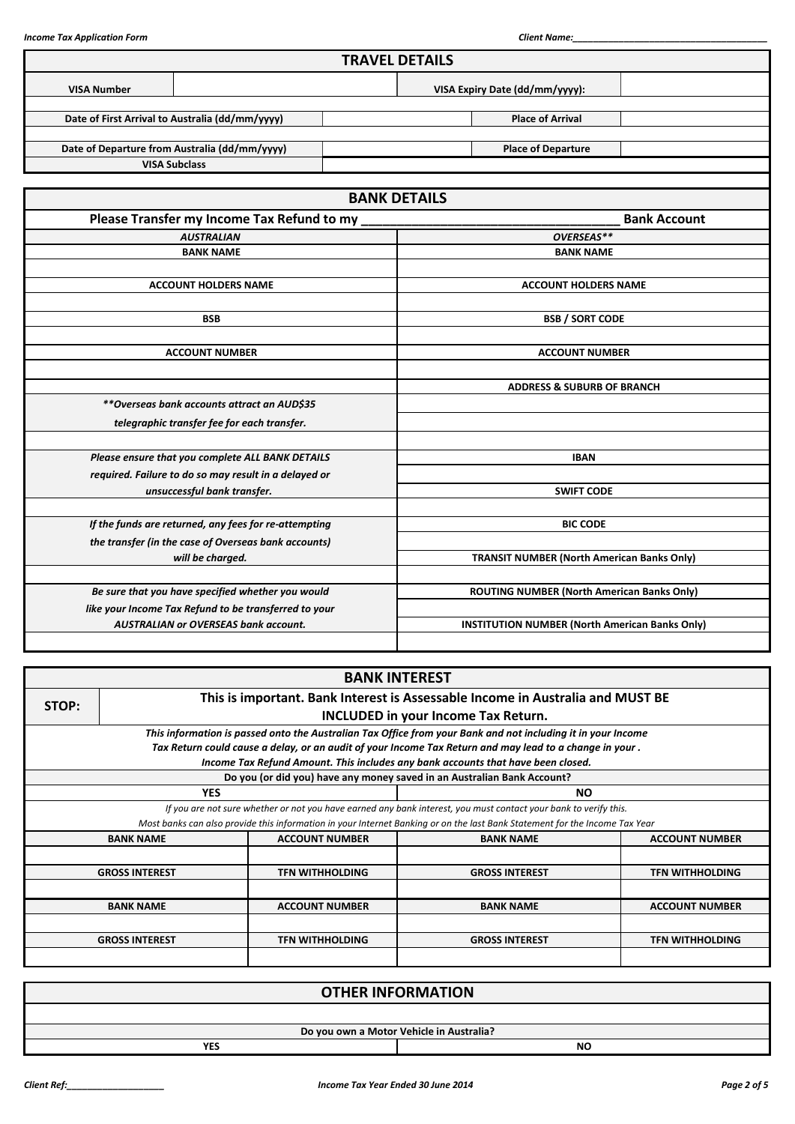|                    |                                                       |  | <b>TRAVEL DETAILS</b>                             |                                                       |                     |  |
|--------------------|-------------------------------------------------------|--|---------------------------------------------------|-------------------------------------------------------|---------------------|--|
| <b>VISA Number</b> |                                                       |  |                                                   | VISA Expiry Date (dd/mm/yyyy):                        |                     |  |
|                    | Date of First Arrival to Australia (dd/mm/yyyy)       |  |                                                   | <b>Place of Arrival</b>                               |                     |  |
|                    |                                                       |  |                                                   |                                                       |                     |  |
|                    | Date of Departure from Australia (dd/mm/yyyy)         |  |                                                   | <b>Place of Departure</b>                             |                     |  |
|                    | <b>VISA Subclass</b>                                  |  |                                                   |                                                       |                     |  |
|                    |                                                       |  |                                                   |                                                       |                     |  |
|                    |                                                       |  | <b>BANK DETAILS</b>                               |                                                       |                     |  |
|                    | Please Transfer my Income Tax Refund to my            |  |                                                   |                                                       | <b>Bank Account</b> |  |
|                    | <b>AUSTRALIAN</b>                                     |  |                                                   | OVERSEAS**                                            |                     |  |
|                    | <b>BANK NAME</b>                                      |  |                                                   | <b>BANK NAME</b>                                      |                     |  |
|                    |                                                       |  |                                                   |                                                       |                     |  |
|                    | <b>ACCOUNT HOLDERS NAME</b>                           |  |                                                   | <b>ACCOUNT HOLDERS NAME</b>                           |                     |  |
|                    |                                                       |  |                                                   |                                                       |                     |  |
|                    | <b>BSB</b>                                            |  |                                                   | <b>BSB / SORT CODE</b>                                |                     |  |
|                    |                                                       |  |                                                   |                                                       |                     |  |
|                    | <b>ACCOUNT NUMBER</b>                                 |  |                                                   | <b>ACCOUNT NUMBER</b>                                 |                     |  |
|                    |                                                       |  |                                                   |                                                       |                     |  |
|                    |                                                       |  |                                                   | <b>ADDRESS &amp; SUBURB OF BRANCH</b>                 |                     |  |
|                    | **Overseas bank accounts attract an AUD\$35           |  |                                                   |                                                       |                     |  |
|                    | telegraphic transfer fee for each transfer.           |  |                                                   |                                                       |                     |  |
|                    |                                                       |  |                                                   |                                                       |                     |  |
|                    | Please ensure that you complete ALL BANK DETAILS      |  |                                                   | <b>IBAN</b>                                           |                     |  |
|                    | required. Failure to do so may result in a delayed or |  |                                                   |                                                       |                     |  |
|                    | unsuccessful bank transfer.                           |  |                                                   | <b>SWIFT CODE</b>                                     |                     |  |
|                    | If the funds are returned, any fees for re-attempting |  |                                                   | <b>BIC CODE</b>                                       |                     |  |
|                    | the transfer (in the case of Overseas bank accounts)  |  |                                                   |                                                       |                     |  |
|                    | will be charged.                                      |  | <b>TRANSIT NUMBER (North American Banks Only)</b> |                                                       |                     |  |
|                    |                                                       |  |                                                   |                                                       |                     |  |
|                    | Be sure that you have specified whether you would     |  |                                                   | ROUTING NUMBER (North American Banks Only)            |                     |  |
|                    | like your Income Tax Refund to be transferred to your |  |                                                   |                                                       |                     |  |
|                    | <b>AUSTRALIAN or OVERSEAS bank account.</b>           |  |                                                   | <b>INSTITUTION NUMBER (North American Banks Only)</b> |                     |  |
|                    |                                                       |  |                                                   |                                                       |                     |  |

|                                     |                                                                                         |                        | <b>BANK INTEREST</b>                                                                                                        |                        |  |  |  |  |  |
|-------------------------------------|-----------------------------------------------------------------------------------------|------------------------|-----------------------------------------------------------------------------------------------------------------------------|------------------------|--|--|--|--|--|
|                                     | This is important. Bank Interest is Assessable Income in Australia and MUST BE<br>STOP: |                        |                                                                                                                             |                        |  |  |  |  |  |
| INCLUDED in your Income Tax Return. |                                                                                         |                        |                                                                                                                             |                        |  |  |  |  |  |
|                                     |                                                                                         |                        | This information is passed onto the Australian Tax Office from your Bank and not including it in your Income                |                        |  |  |  |  |  |
|                                     |                                                                                         |                        | Tax Return could cause a delay, or an audit of your Income Tax Return and may lead to a change in your.                     |                        |  |  |  |  |  |
|                                     |                                                                                         |                        | Income Tax Refund Amount. This includes any bank accounts that have been closed.                                            |                        |  |  |  |  |  |
|                                     |                                                                                         |                        | Do you (or did you) have any money saved in an Australian Bank Account?                                                     |                        |  |  |  |  |  |
|                                     | <b>YES</b>                                                                              |                        | NO.                                                                                                                         |                        |  |  |  |  |  |
|                                     |                                                                                         |                        | If you are not sure whether or not you have earned any bank interest, you must contact your bank to verify this.            |                        |  |  |  |  |  |
|                                     |                                                                                         |                        | Most banks can also provide this information in your Internet Banking or on the last Bank Statement for the Income Tax Year |                        |  |  |  |  |  |
|                                     | <b>BANK NAME</b>                                                                        | <b>ACCOUNT NUMBER</b>  | <b>BANK NAME</b>                                                                                                            | <b>ACCOUNT NUMBER</b>  |  |  |  |  |  |
|                                     |                                                                                         |                        |                                                                                                                             |                        |  |  |  |  |  |
|                                     | <b>GROSS INTEREST</b>                                                                   | <b>TFN WITHHOLDING</b> | <b>GROSS INTEREST</b>                                                                                                       | <b>TFN WITHHOLDING</b> |  |  |  |  |  |
|                                     |                                                                                         |                        |                                                                                                                             |                        |  |  |  |  |  |
|                                     | <b>BANK NAME</b>                                                                        | <b>ACCOUNT NUMBER</b>  | <b>BANK NAME</b>                                                                                                            | <b>ACCOUNT NUMBER</b>  |  |  |  |  |  |
|                                     |                                                                                         |                        |                                                                                                                             |                        |  |  |  |  |  |
|                                     | <b>GROSS INTEREST</b>                                                                   | <b>TFN WITHHOLDING</b> | <b>GROSS INTEREST</b>                                                                                                       | <b>TFN WITHHOLDING</b> |  |  |  |  |  |
|                                     |                                                                                         |                        |                                                                                                                             |                        |  |  |  |  |  |

| <b>OTHER INFORMATION</b>                 |           |  |  |  |  |  |
|------------------------------------------|-----------|--|--|--|--|--|
|                                          |           |  |  |  |  |  |
| Do you own a Motor Vehicle in Australia? |           |  |  |  |  |  |
| <b>YES</b>                               | <b>NO</b> |  |  |  |  |  |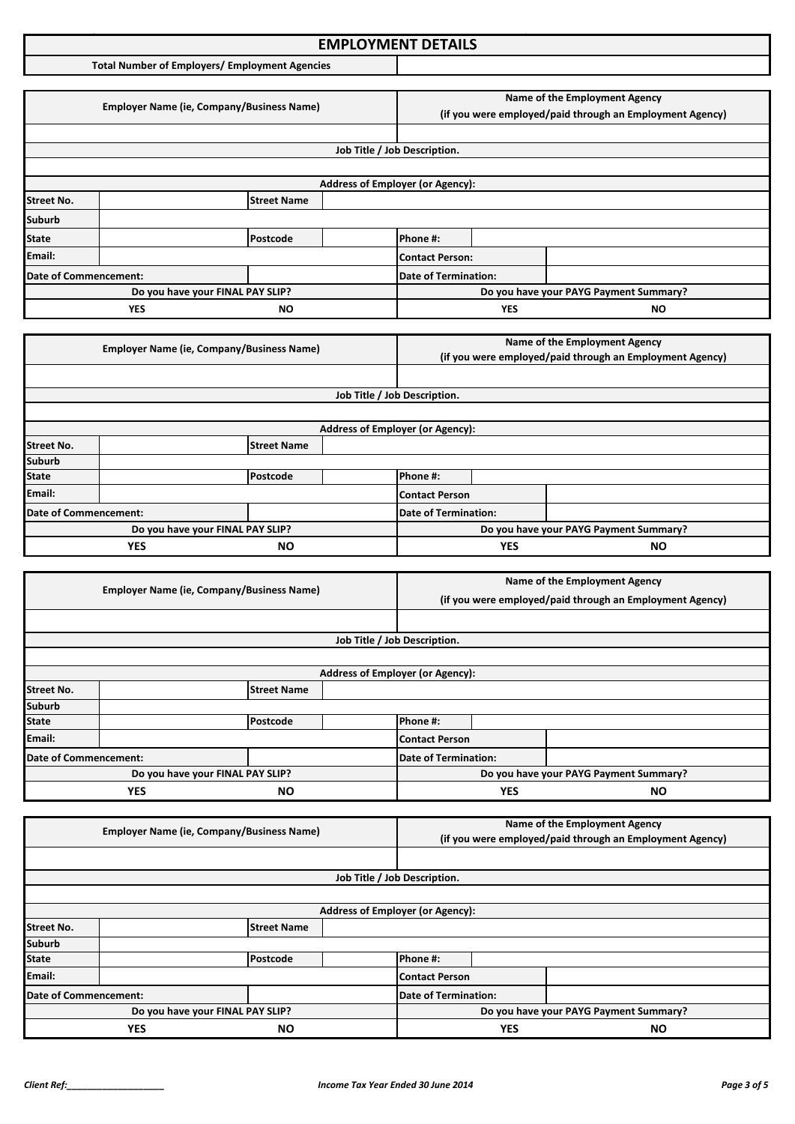### **Income Tax Application Format: EMPLOYMENT DETAILS**

**Total Number of Employers/ Employment Agencies**

|                                                                                                                         |                                                  |                                  |                               |                                         | Name of the Employment Agency |                                                          |  |
|-------------------------------------------------------------------------------------------------------------------------|--------------------------------------------------|----------------------------------|-------------------------------|-----------------------------------------|-------------------------------|----------------------------------------------------------|--|
|                                                                                                                         | <b>Employer Name (ie, Company/Business Name)</b> |                                  |                               |                                         |                               | (if you were employed/paid through an Employment Agency) |  |
|                                                                                                                         |                                                  |                                  |                               |                                         |                               |                                                          |  |
|                                                                                                                         |                                                  |                                  |                               |                                         |                               |                                                          |  |
|                                                                                                                         |                                                  |                                  |                               | Job Title / Job Description.            |                               |                                                          |  |
|                                                                                                                         |                                                  |                                  |                               |                                         |                               |                                                          |  |
|                                                                                                                         |                                                  |                                  |                               | <b>Address of Employer (or Agency):</b> |                               |                                                          |  |
| <b>Street No.</b>                                                                                                       |                                                  | <b>Street Name</b>               |                               |                                         |                               |                                                          |  |
| <b>Suburb</b>                                                                                                           |                                                  |                                  |                               |                                         |                               |                                                          |  |
| <b>State</b>                                                                                                            |                                                  | Postcode                         |                               | Phone #:                                |                               |                                                          |  |
| Email:                                                                                                                  |                                                  |                                  |                               | <b>Contact Person:</b>                  |                               |                                                          |  |
| Date of Commencement:                                                                                                   |                                                  |                                  |                               | <b>Date of Termination:</b>             |                               |                                                          |  |
|                                                                                                                         |                                                  | Do you have your FINAL PAY SLIP? |                               |                                         |                               | Do you have your PAYG Payment Summary?                   |  |
|                                                                                                                         | <b>YES</b>                                       | ΝO                               |                               |                                         | <b>YES</b>                    | <b>NO</b>                                                |  |
|                                                                                                                         |                                                  |                                  |                               |                                         |                               |                                                          |  |
| $F_{\text{model}}$ . The Mean of $F_{\text{model}}$ is the second contract of $F_{\text{model}}$ and $F_{\text{model}}$ |                                                  |                                  | Name of the Employment Agency |                                         |                               |                                                          |  |

|                         | <b>Employer Name (ie, Company/Business Name)</b> |                    |  |                                         |           | (if you were employed/paid through an Employment Agency) |
|-------------------------|--------------------------------------------------|--------------------|--|-----------------------------------------|-----------|----------------------------------------------------------|
|                         |                                                  |                    |  |                                         |           |                                                          |
|                         |                                                  |                    |  | Job Title / Job Description.            |           |                                                          |
|                         |                                                  |                    |  |                                         |           |                                                          |
|                         |                                                  |                    |  | <b>Address of Employer (or Agency):</b> |           |                                                          |
| <b>Street No.</b>       |                                                  | <b>Street Name</b> |  |                                         |           |                                                          |
| <b>Suburb</b>           |                                                  |                    |  |                                         |           |                                                          |
| <b>State</b>            |                                                  | Postcode           |  | Phone #:                                |           |                                                          |
| Email:                  |                                                  |                    |  | Contact Person                          |           |                                                          |
| Date of Commencement:   |                                                  |                    |  | Date of Termination:                    |           |                                                          |
|                         | Do you have your FINAL PAY SLIP?                 |                    |  |                                         |           | Do you have your PAYG Payment Summary?                   |
| <b>YES</b><br><b>NO</b> |                                                  |                    |  | <b>YES</b>                              | <b>NO</b> |                                                          |

| <b>Employer Name (ie, Company/Business Name)</b> |                                  | Name of the Employment Agency |                                                          |                                         |  |  |  |
|--------------------------------------------------|----------------------------------|-------------------------------|----------------------------------------------------------|-----------------------------------------|--|--|--|
|                                                  |                                  |                               | (if you were employed/paid through an Employment Agency) |                                         |  |  |  |
|                                                  |                                  |                               |                                                          |                                         |  |  |  |
|                                                  |                                  |                               |                                                          | Job Title / Job Description.            |  |  |  |
|                                                  |                                  |                               |                                                          |                                         |  |  |  |
|                                                  |                                  |                               |                                                          | <b>Address of Employer (or Agency):</b> |  |  |  |
| <b>Street No.</b>                                |                                  | <b>Street Name</b>            |                                                          |                                         |  |  |  |
| <b>Suburb</b>                                    |                                  |                               |                                                          |                                         |  |  |  |
| <b>State</b>                                     |                                  | Postcode                      |                                                          | Phone #:                                |  |  |  |
| Email:                                           |                                  |                               |                                                          | Contact Person                          |  |  |  |
| Date of Commencement:                            |                                  | Date of Termination:          |                                                          |                                         |  |  |  |
|                                                  | Do you have your FINAL PAY SLIP? |                               |                                                          | Do you have your PAYG Payment Summary?  |  |  |  |
| <b>YES</b><br>NΟ                                 |                                  |                               | <b>YES</b>                                               | <b>NO</b>                               |  |  |  |

|                       | <b>Employer Name (ie, Company/Business Name)</b> |                    |                                         | Name of the Employment Agency                            |            |           |
|-----------------------|--------------------------------------------------|--------------------|-----------------------------------------|----------------------------------------------------------|------------|-----------|
|                       |                                                  |                    |                                         | (if you were employed/paid through an Employment Agency) |            |           |
|                       |                                                  |                    |                                         |                                                          |            |           |
|                       |                                                  |                    | Job Title / Job Description.            |                                                          |            |           |
|                       |                                                  |                    |                                         |                                                          |            |           |
|                       |                                                  |                    | <b>Address of Employer (or Agency):</b> |                                                          |            |           |
| <b>Street No.</b>     |                                                  | <b>Street Name</b> |                                         |                                                          |            |           |
| <b>Suburb</b>         |                                                  |                    |                                         |                                                          |            |           |
| <b>State</b>          |                                                  | Postcode           |                                         | Phone #:                                                 |            |           |
| Email:                |                                                  |                    |                                         | Contact Person                                           |            |           |
| Date of Commencement: |                                                  |                    |                                         | <b>Date of Termination:</b>                              |            |           |
|                       | Do you have your FINAL PAY SLIP?                 |                    |                                         | Do you have your PAYG Payment Summary?                   |            |           |
|                       | <b>YES</b>                                       | <b>NO</b>          |                                         |                                                          | <b>YES</b> | <b>NO</b> |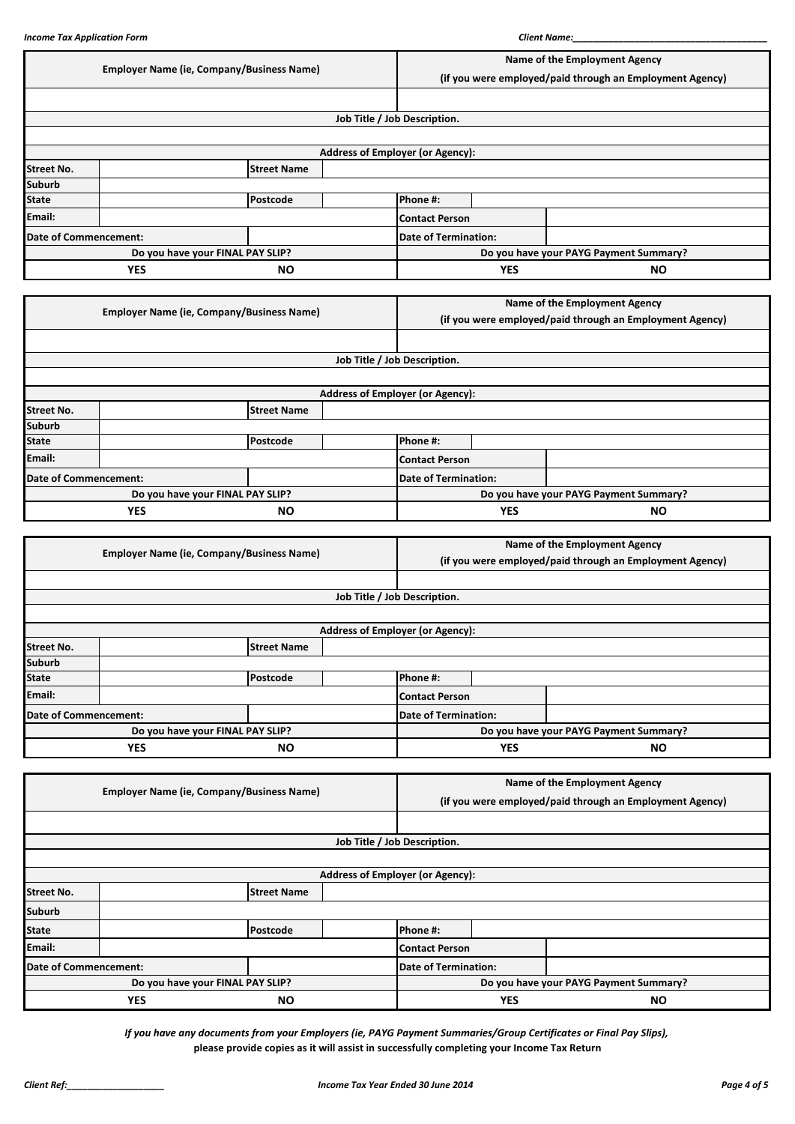| <b>Employer Name (ie, Company/Business Name)</b>   |                              |                                                  |                                         | Name of the Employment Agency                            |  |  |
|----------------------------------------------------|------------------------------|--------------------------------------------------|-----------------------------------------|----------------------------------------------------------|--|--|
|                                                    |                              |                                                  |                                         | (if you were employed/paid through an Employment Agency) |  |  |
|                                                    |                              |                                                  |                                         |                                                          |  |  |
|                                                    |                              |                                                  | Job Title / Job Description.            |                                                          |  |  |
|                                                    |                              |                                                  |                                         |                                                          |  |  |
|                                                    |                              |                                                  | <b>Address of Employer (or Agency):</b> |                                                          |  |  |
| <b>Street No.</b>                                  |                              | <b>Street Name</b>                               |                                         |                                                          |  |  |
| <b>Suburb</b>                                      |                              |                                                  |                                         |                                                          |  |  |
| <b>State</b>                                       |                              | Postcode                                         | Phone #:                                |                                                          |  |  |
| Email:                                             |                              |                                                  | <b>Contact Person</b>                   |                                                          |  |  |
|                                                    | <b>Date of Commencement:</b> |                                                  | <b>Date of Termination:</b>             |                                                          |  |  |
|                                                    |                              | Do you have your FINAL PAY SLIP?                 |                                         | Do you have your PAYG Payment Summary?                   |  |  |
|                                                    | <b>YES</b>                   | <b>NO</b>                                        | <b>YES</b>                              | <b>NO</b>                                                |  |  |
|                                                    |                              |                                                  |                                         |                                                          |  |  |
|                                                    |                              | <b>Employer Name (ie, Company/Business Name)</b> |                                         | Name of the Employment Agency                            |  |  |
|                                                    |                              |                                                  |                                         | (if you were employed/paid through an Employment Agency) |  |  |
|                                                    |                              |                                                  |                                         |                                                          |  |  |
|                                                    |                              |                                                  | Job Title / Job Description.            |                                                          |  |  |
|                                                    |                              |                                                  |                                         |                                                          |  |  |
|                                                    |                              |                                                  | <b>Address of Employer (or Agency):</b> |                                                          |  |  |
|                                                    |                              |                                                  |                                         |                                                          |  |  |
|                                                    |                              | <b>Street Name</b>                               |                                         |                                                          |  |  |
|                                                    |                              |                                                  |                                         |                                                          |  |  |
| <b>Street No.</b><br><b>Suburb</b><br><b>State</b> |                              | Postcode                                         | Phone #:                                |                                                          |  |  |
| Email:                                             |                              |                                                  | <b>Contact Person</b>                   |                                                          |  |  |
|                                                    | <b>Date of Commencement:</b> |                                                  | <b>Date of Termination:</b>             |                                                          |  |  |
|                                                    |                              | Do you have your FINAL PAY SLIP?                 |                                         | Do you have your PAYG Payment Summary?                   |  |  |

|                         | <b>Employer Name (ie, Company/Business Name)</b> |                    |                                         | Name of the Employment Agency                            |  |  |
|-------------------------|--------------------------------------------------|--------------------|-----------------------------------------|----------------------------------------------------------|--|--|
|                         |                                                  |                    |                                         | (if you were employed/paid through an Employment Agency) |  |  |
|                         |                                                  |                    |                                         |                                                          |  |  |
|                         |                                                  |                    |                                         | Job Title / Job Description.                             |  |  |
|                         |                                                  |                    |                                         |                                                          |  |  |
|                         |                                                  |                    | <b>Address of Employer (or Agency):</b> |                                                          |  |  |
| <b>Street No.</b>       |                                                  | <b>Street Name</b> |                                         |                                                          |  |  |
| <b>Suburb</b>           |                                                  |                    |                                         |                                                          |  |  |
| <b>State</b>            |                                                  | Postcode           |                                         | Phone #:                                                 |  |  |
| Email:                  |                                                  |                    |                                         | Contact Person                                           |  |  |
| Date of Commencement:   |                                                  |                    |                                         | Date of Termination:                                     |  |  |
|                         | Do you have your FINAL PAY SLIP?                 |                    |                                         | Do you have your PAYG Payment Summary?                   |  |  |
| <b>YES</b><br><b>NO</b> |                                                  |                    | <b>YES</b>                              | <b>NO</b>                                                |  |  |

|                         | <b>Employer Name (ie, Company/Business Name)</b> |                    |  | Name of the Employment Agency                            |           |  |
|-------------------------|--------------------------------------------------|--------------------|--|----------------------------------------------------------|-----------|--|
|                         |                                                  |                    |  | (if you were employed/paid through an Employment Agency) |           |  |
|                         |                                                  |                    |  |                                                          |           |  |
|                         | Job Title / Job Description.                     |                    |  |                                                          |           |  |
|                         |                                                  |                    |  |                                                          |           |  |
|                         |                                                  |                    |  | <b>Address of Employer (or Agency):</b>                  |           |  |
| <b>Street No.</b>       |                                                  | <b>Street Name</b> |  |                                                          |           |  |
| <b>Suburb</b>           |                                                  |                    |  |                                                          |           |  |
| <b>State</b>            |                                                  | Postcode           |  | Phone #:                                                 |           |  |
| Email:                  |                                                  |                    |  | <b>Contact Person</b>                                    |           |  |
| Date of Commencement:   |                                                  |                    |  | <b>Date of Termination:</b>                              |           |  |
|                         | Do you have your FINAL PAY SLIP?                 |                    |  | Do you have your PAYG Payment Summary?                   |           |  |
| <b>YES</b><br><b>NO</b> |                                                  |                    |  | <b>YES</b>                                               | <b>NO</b> |  |

*If you have any documents from your Employers (ie, PAYG Payment Summaries/Group Certificates or Final Pay Slips),* **please provide copies as it will assist in successfully completing your Income Tax Return**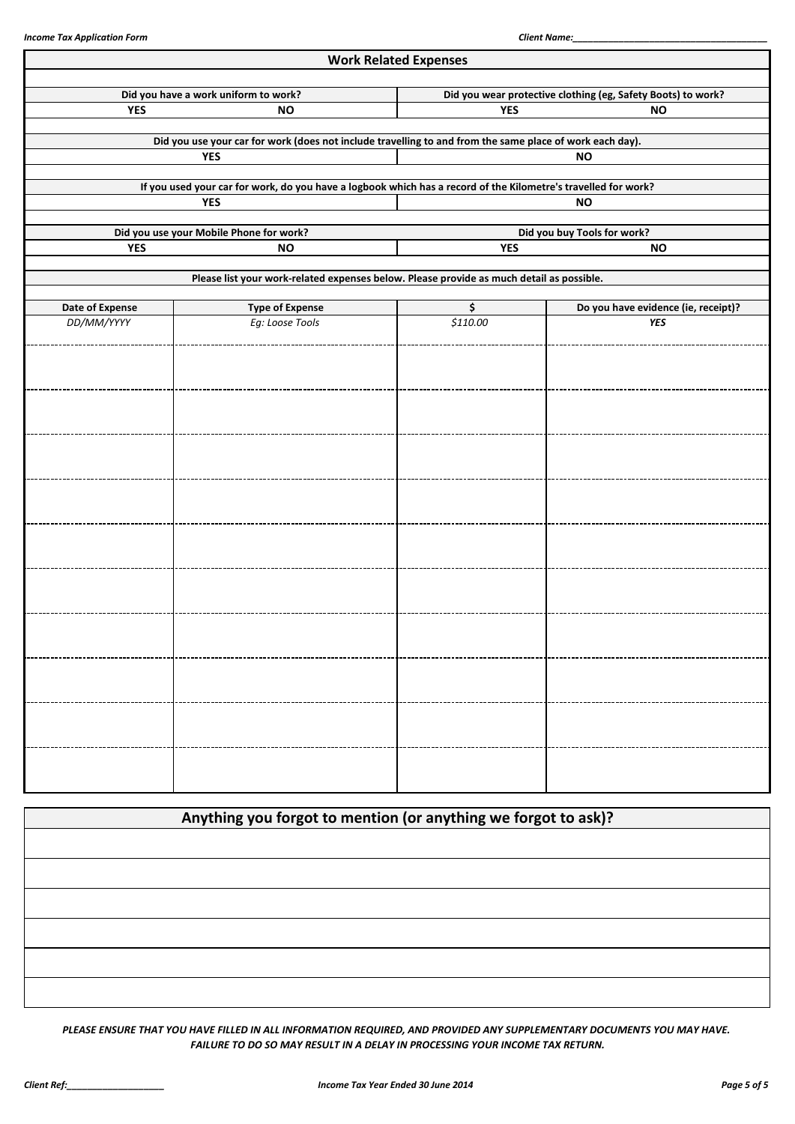|                 |                                                                                                                | <b>Work Related Expenses</b> |                                                              |  |  |  |
|-----------------|----------------------------------------------------------------------------------------------------------------|------------------------------|--------------------------------------------------------------|--|--|--|
|                 | Did you have a work uniform to work?                                                                           |                              | Did you wear protective clothing (eg, Safety Boots) to work? |  |  |  |
| <b>YES</b>      | <b>NO</b>                                                                                                      | <b>YES</b><br><b>NO</b>      |                                                              |  |  |  |
|                 | Did you use your car for work (does not include travelling to and from the same place of work each day).       |                              |                                                              |  |  |  |
|                 | <b>YES</b>                                                                                                     |                              | <b>NO</b>                                                    |  |  |  |
|                 | If you used your car for work, do you have a logbook which has a record of the Kilometre's travelled for work? |                              |                                                              |  |  |  |
|                 | <b>YES</b>                                                                                                     |                              | <b>NO</b>                                                    |  |  |  |
|                 | Did you use your Mobile Phone for work?                                                                        |                              | Did you buy Tools for work?                                  |  |  |  |
| <b>YES</b>      | <b>NO</b>                                                                                                      | <b>YES</b>                   | <b>NO</b>                                                    |  |  |  |
|                 | Please list your work-related expenses below. Please provide as much detail as possible.                       |                              |                                                              |  |  |  |
| Date of Expense | <b>Type of Expense</b>                                                                                         | \$                           | Do you have evidence (ie, receipt)?                          |  |  |  |
| DD/MM/YYYY      | Eg: Loose Tools                                                                                                | \$110.00                     | <b>YES</b>                                                   |  |  |  |
|                 |                                                                                                                |                              |                                                              |  |  |  |
|                 |                                                                                                                |                              |                                                              |  |  |  |
|                 |                                                                                                                |                              |                                                              |  |  |  |
|                 |                                                                                                                |                              |                                                              |  |  |  |
|                 |                                                                                                                |                              |                                                              |  |  |  |
|                 |                                                                                                                |                              |                                                              |  |  |  |
|                 |                                                                                                                |                              |                                                              |  |  |  |
|                 |                                                                                                                |                              |                                                              |  |  |  |
|                 |                                                                                                                |                              |                                                              |  |  |  |
|                 |                                                                                                                |                              |                                                              |  |  |  |
|                 |                                                                                                                |                              |                                                              |  |  |  |
|                 |                                                                                                                |                              |                                                              |  |  |  |
|                 |                                                                                                                |                              |                                                              |  |  |  |
|                 |                                                                                                                |                              |                                                              |  |  |  |
|                 |                                                                                                                |                              |                                                              |  |  |  |
|                 |                                                                                                                |                              |                                                              |  |  |  |
|                 |                                                                                                                |                              |                                                              |  |  |  |
|                 |                                                                                                                |                              |                                                              |  |  |  |
|                 |                                                                                                                |                              |                                                              |  |  |  |
|                 |                                                                                                                |                              |                                                              |  |  |  |

| Anything you forgot to mention (or anything we forgot to ask)? |  |
|----------------------------------------------------------------|--|
|                                                                |  |
|                                                                |  |
|                                                                |  |
|                                                                |  |
|                                                                |  |
|                                                                |  |

*PLEASE ENSURE THAT YOU HAVE FILLED IN ALL INFORMATION REQUIRED, AND PROVIDED ANY SUPPLEMENTARY DOCUMENTS YOU MAY HAVE. FAILURE TO DO SO MAY RESULT IN A DELAY IN PROCESSING YOUR INCOME TAX RETURN.*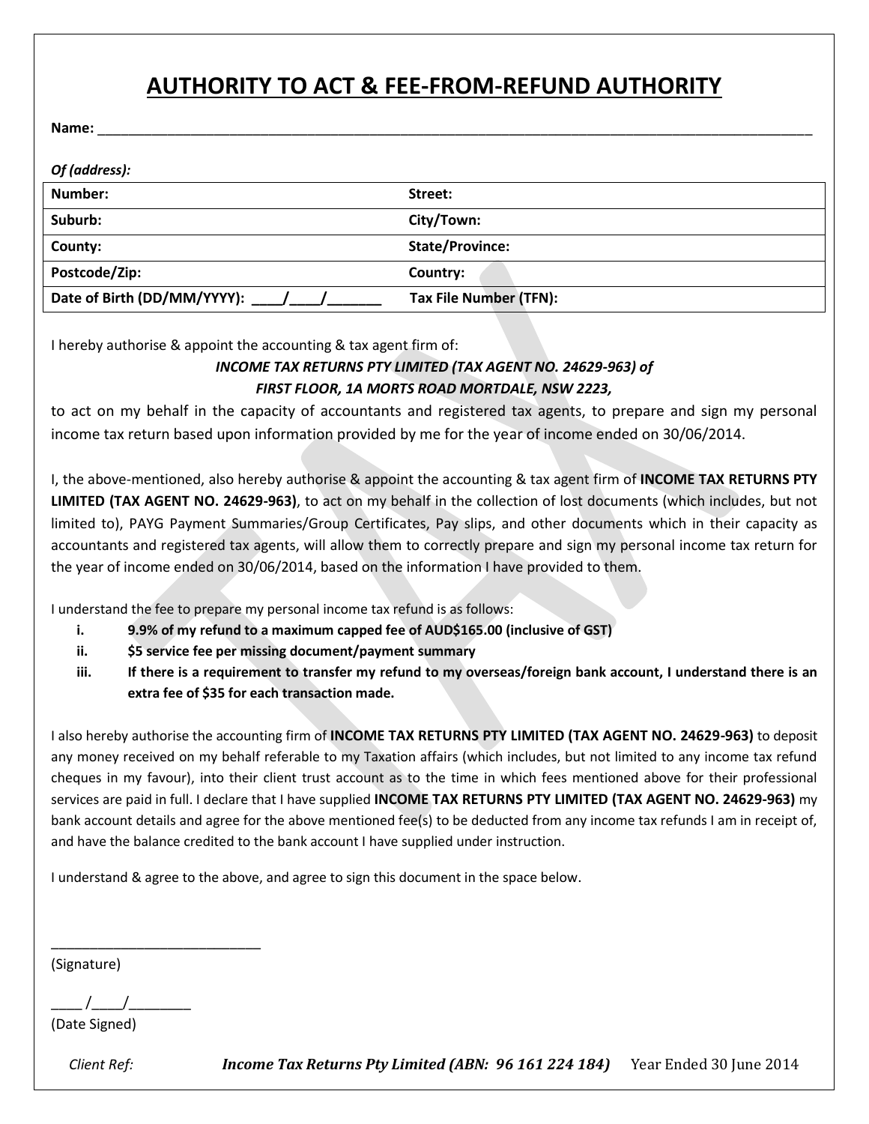# **AUTHORITY TO ACT & FEE-FROM-REFUND AUTHORITY**

**Name:** \_\_\_\_\_\_\_\_\_\_\_\_\_\_\_\_\_\_\_\_\_\_\_\_\_\_\_\_\_\_\_\_\_\_\_\_\_\_\_\_\_\_\_\_\_\_\_\_\_\_\_\_\_\_\_\_\_\_\_\_\_\_\_\_\_\_\_\_\_\_\_\_\_\_\_\_\_\_\_\_\_\_\_\_\_\_\_\_\_\_\_\_

| Of (address):               |                        |
|-----------------------------|------------------------|
| Number:                     | Street:                |
| Suburb:                     | City/Town:             |
| County:                     | <b>State/Province:</b> |
| Postcode/Zip:               | Country:               |
| Date of Birth (DD/MM/YYYY): | Tax File Number (TFN): |

I hereby authorise & appoint the accounting & tax agent firm of:

#### *INCOME TAX RETURNS PTY LIMITED (TAX AGENT NO. 24629-963) of FIRST FLOOR, 1A MORTS ROAD MORTDALE, NSW 2223,*

to act on my behalf in the capacity of accountants and registered tax agents, to prepare and sign my personal income tax return based upon information provided by me for the year of income ended on 30/06/2014.

I, the above-mentioned, also hereby authorise & appoint the accounting & tax agent firm of **INCOME TAX RETURNS PTY LIMITED (TAX AGENT NO. 24629-963)**, to act on my behalf in the collection of lost documents (which includes, but not limited to), PAYG Payment Summaries/Group Certificates, Pay slips, and other documents which in their capacity as accountants and registered tax agents, will allow them to correctly prepare and sign my personal income tax return for the year of income ended on 30/06/2014, based on the information I have provided to them.

I understand the fee to prepare my personal income tax refund is as follows:

- **i. 9.9% of my refund to a maximum capped fee of AUD\$165.00 (inclusive of GST)**
- **ii. \$5 service fee per missing document/payment summary**
- **iii. If there is a requirement to transfer my refund to my overseas/foreign bank account, I understand there is an extra fee of \$35 for each transaction made.**

I also hereby authorise the accounting firm of **INCOME TAX RETURNS PTY LIMITED (TAX AGENT NO. 24629-963)** to deposit any money received on my behalf referable to my Taxation affairs (which includes, but not limited to any income tax refund cheques in my favour), into their client trust account as to the time in which fees mentioned above for their professional services are paid in full. I declare that I have supplied **INCOME TAX RETURNS PTY LIMITED (TAX AGENT NO. 24629-963)** my bank account details and agree for the above mentioned fee(s) to be deducted from any income tax refunds I am in receipt of, and have the balance credited to the bank account I have supplied under instruction.

I understand & agree to the above, and agree to sign this document in the space below.

(Signature)

 $\frac{1}{2}$  /

\_\_\_\_\_\_\_\_\_\_\_\_\_\_\_\_\_\_\_\_\_\_\_\_\_\_\_

(Date Signed)